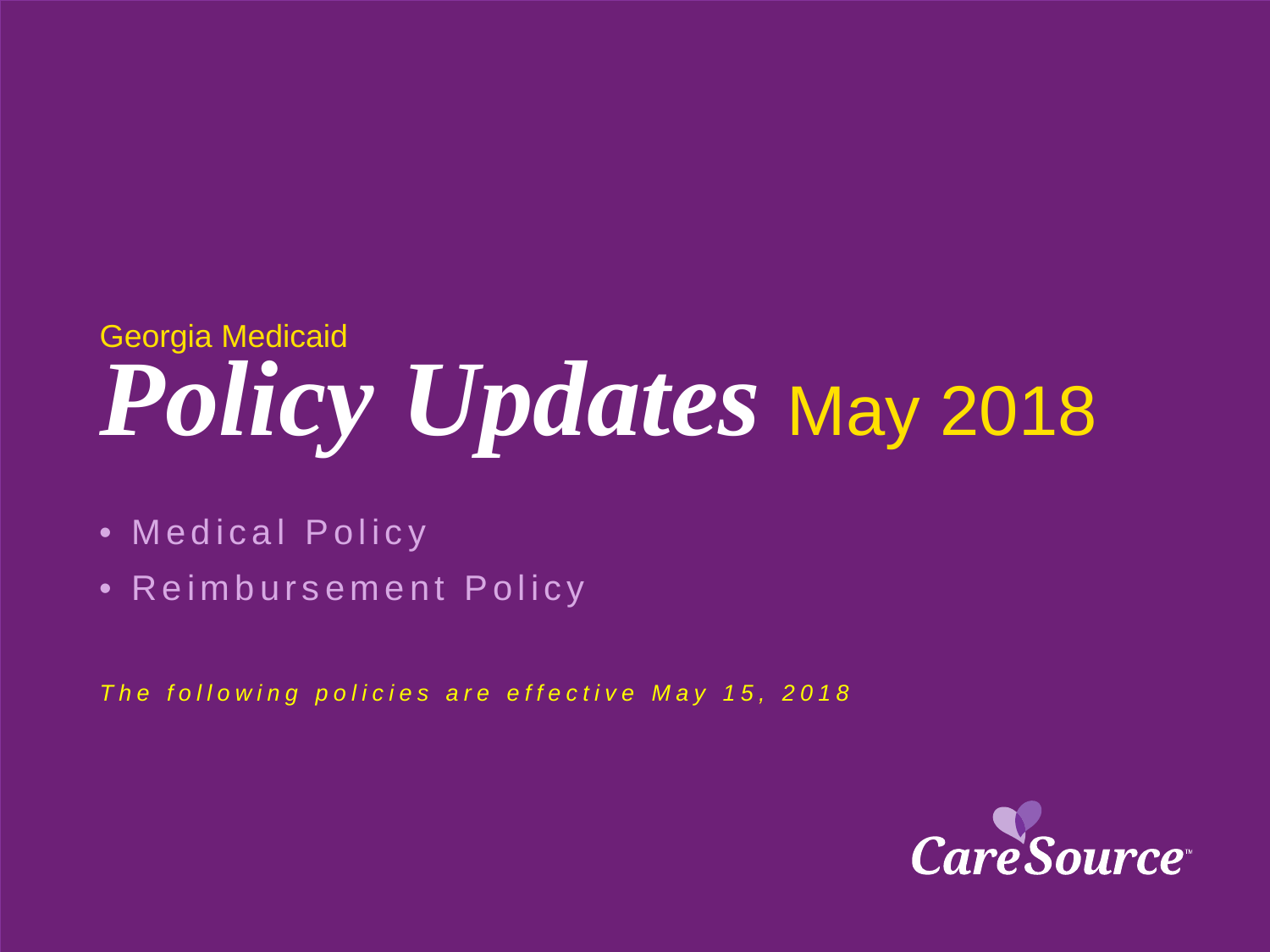# *Policy Updates* May 2018 Georgia Medicaid

- Medical Policy
- Reimbursement Policy

*The following policies are effective May 15, 2018*

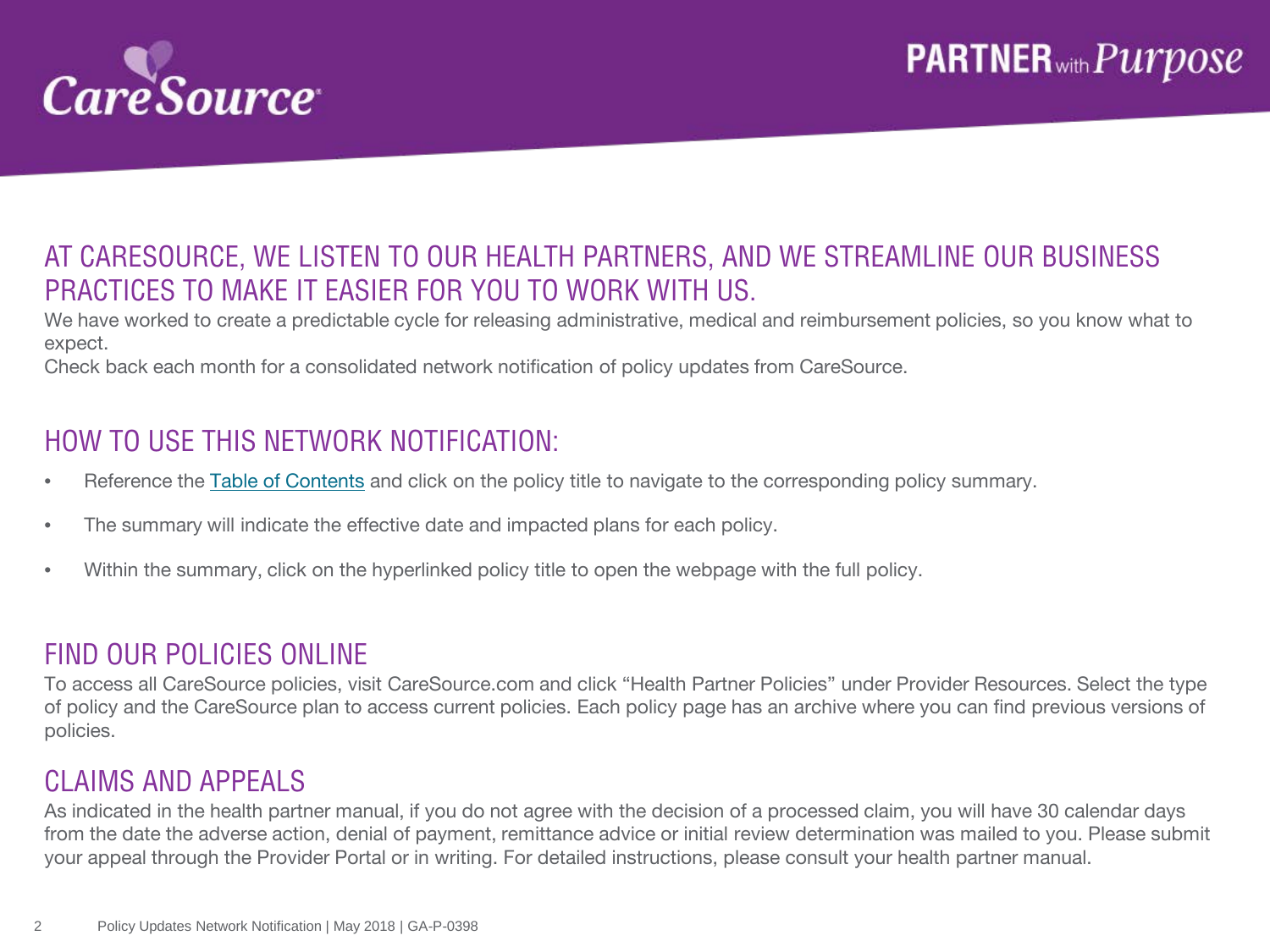

#### AT CARESOURCE, WE LISTEN TO OUR HEALTH PARTNERS, AND WE STREAMLINE OUR BUSINESS PRACTICES TO MAKE IT EASIER FOR YOU TO WORK WITH US.

We have worked to create a predictable cycle for releasing administrative, medical and reimbursement policies, so you know what to expect.

Check back each month for a consolidated network notification of policy updates from CareSource.

#### HOW TO USE THIS NETWORK NOTIFICATION:

- Reference the [Table of Contents](#page-2-0) and click on the policy title to navigate to the corresponding policy summary.
- The summary will indicate the effective date and impacted plans for each policy.
- Within the summary, click on the hyperlinked policy title to open the webpage with the full policy.

#### FIND OUR POLICIES ONLINE

To access all CareSource policies, visit CareSource.com and click "Health Partner Policies" under Provider Resources. Select the type of policy and the CareSource plan to access current policies. Each policy page has an archive where you can find previous versions of policies.

#### CLAIMS AND APPEALS

As indicated in the health partner manual, if you do not agree with the decision of a processed claim, you will have 30 calendar days from the date the adverse action, denial of payment, remittance advice or initial review determination was mailed to you. Please submit your appeal through the Provider Portal or in writing. For detailed instructions, please consult your health partner manual.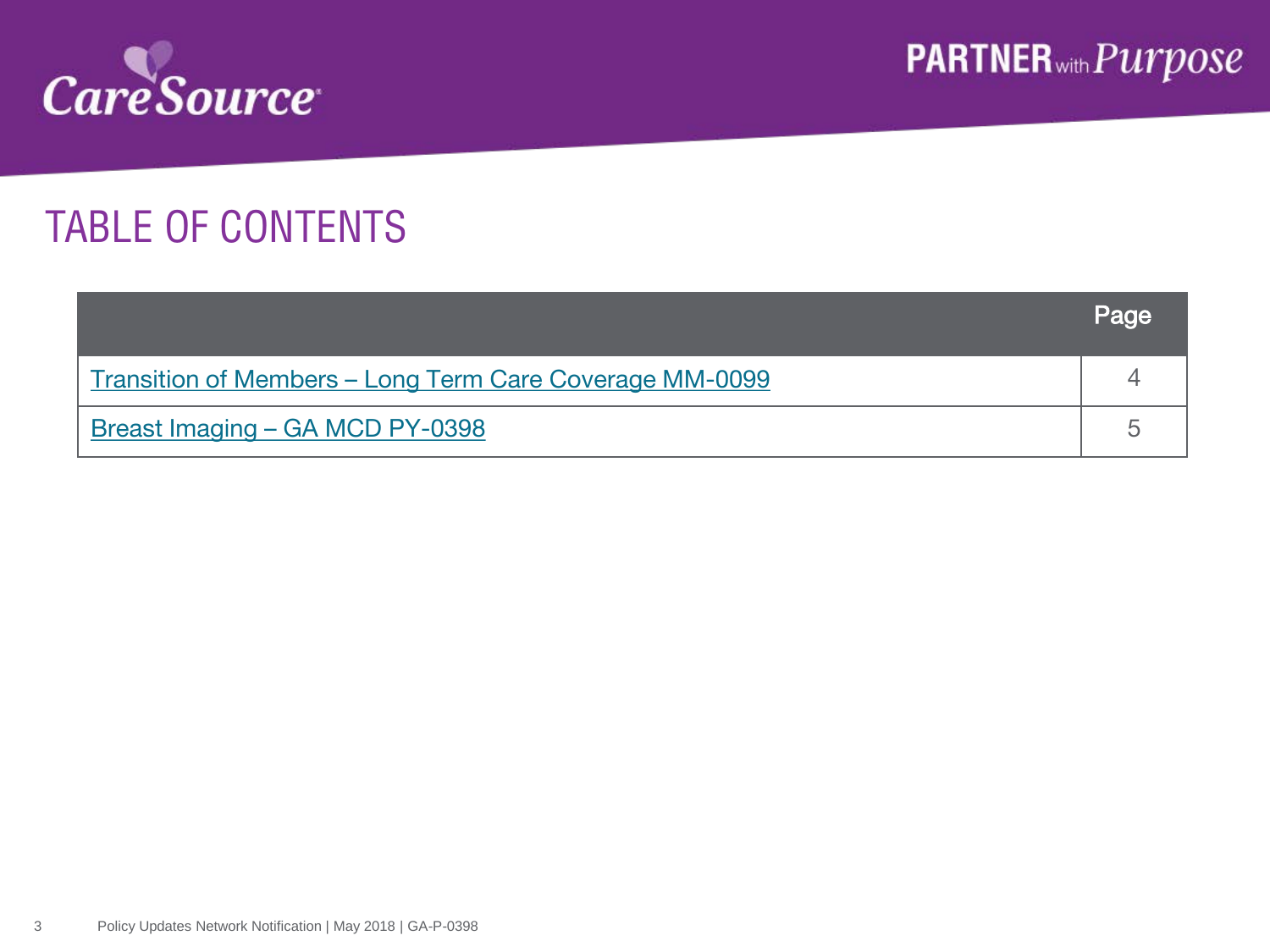<span id="page-2-0"></span>

## TABLE OF CONTENTS

|                                                                       | Page |
|-----------------------------------------------------------------------|------|
| <u><b>Transition of Members – Long Term Care Coverage MM-0099</b></u> |      |
| Breast Imaging – GA MCD PY-0398                                       |      |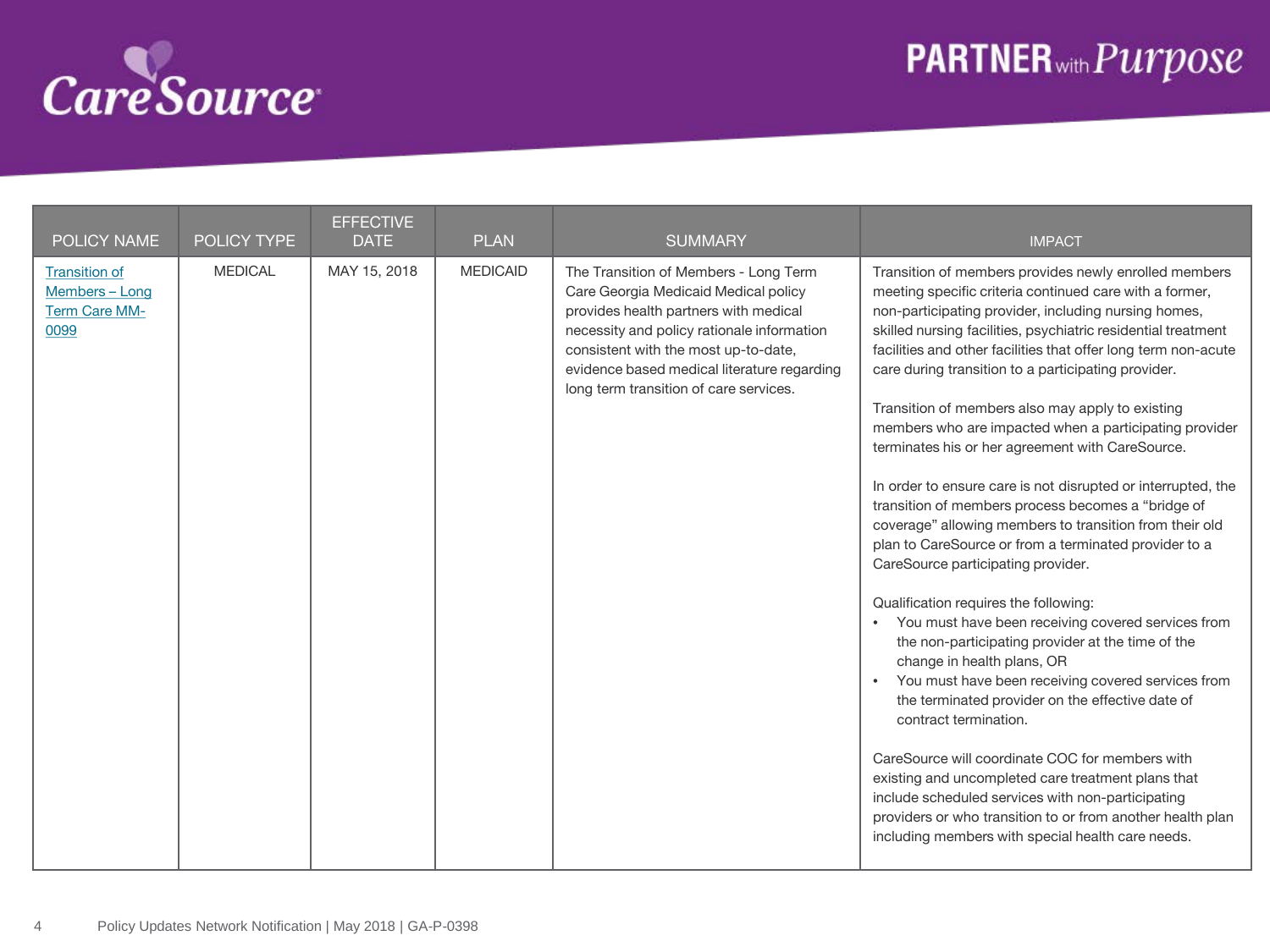<span id="page-3-0"></span>

## **PARTNER**<sub>with</sub> Purpose

| POLICY NAME                                                            | POLICY TYPE    | <b>EFFECTIVE</b><br><b>DATE</b> | <b>PLAN</b>     | <b>SUMMARY</b>                                                                                                                                                                                                                                                                                        | <b>IMPACT</b>                                                                                                                                                                                                                                                                                                                                                                                                                                                                                                                                                                                                                                                                                                                                                                                                                                                                                                                                                                                                                                                                                                                                                                                                                                                                                                                                                                                                                  |
|------------------------------------------------------------------------|----------------|---------------------------------|-----------------|-------------------------------------------------------------------------------------------------------------------------------------------------------------------------------------------------------------------------------------------------------------------------------------------------------|--------------------------------------------------------------------------------------------------------------------------------------------------------------------------------------------------------------------------------------------------------------------------------------------------------------------------------------------------------------------------------------------------------------------------------------------------------------------------------------------------------------------------------------------------------------------------------------------------------------------------------------------------------------------------------------------------------------------------------------------------------------------------------------------------------------------------------------------------------------------------------------------------------------------------------------------------------------------------------------------------------------------------------------------------------------------------------------------------------------------------------------------------------------------------------------------------------------------------------------------------------------------------------------------------------------------------------------------------------------------------------------------------------------------------------|
| <b>Transition of</b><br>Members - Long<br><b>Term Care MM-</b><br>0099 | <b>MEDICAL</b> | MAY 15, 2018                    | <b>MEDICAID</b> | The Transition of Members - Long Term<br>Care Georgia Medicaid Medical policy<br>provides health partners with medical<br>necessity and policy rationale information<br>consistent with the most up-to-date,<br>evidence based medical literature regarding<br>long term transition of care services. | Transition of members provides newly enrolled members<br>meeting specific criteria continued care with a former,<br>non-participating provider, including nursing homes,<br>skilled nursing facilities, psychiatric residential treatment<br>facilities and other facilities that offer long term non-acute<br>care during transition to a participating provider.<br>Transition of members also may apply to existing<br>members who are impacted when a participating provider<br>terminates his or her agreement with CareSource.<br>In order to ensure care is not disrupted or interrupted, the<br>transition of members process becomes a "bridge of<br>coverage" allowing members to transition from their old<br>plan to CareSource or from a terminated provider to a<br>CareSource participating provider.<br>Qualification requires the following:<br>• You must have been receiving covered services from<br>the non-participating provider at the time of the<br>change in health plans, OR<br>• You must have been receiving covered services from<br>the terminated provider on the effective date of<br>contract termination.<br>CareSource will coordinate COC for members with<br>existing and uncompleted care treatment plans that<br>include scheduled services with non-participating<br>providers or who transition to or from another health plan<br>including members with special health care needs. |